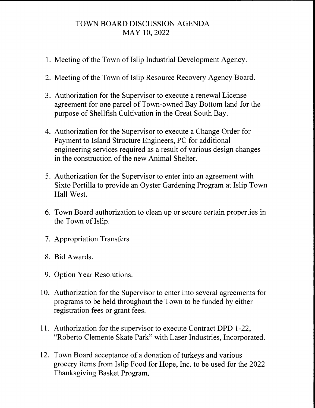## TOWN BOARD DISCUSSION AGENDA MAY 10, 2022

- 1. Meeting of the Town of Islip Industrial Development Agency.
- 2. Meeting of the Town of Islip Resource Recovery Agency Board.
- 3. Authorization for the Supervisor to execute a renewal License agreement for one parcel of Town-owned Bay Bottom land for the purpose of Shellfish Cultivation in the Great South Bay.
- 4. Authorization for the Supervisor to execute a Change Order for Payment to Island Structure Engineers, PC for additional engineering services required as a result of various design changes in the construction of the new Animal Shelter.
- 5. Authorization for the Supervisor to enter into an agreement with Sixta Portilla to provide an Oyster Gardening Program at Islip Town Hall West.
- 6. Town Board authorization to clean up or secure certain properties in the Town of Islip.
- 7. Appropriation Transfers.
- 8. Bid Awards.
- 9. Option Year Resolutions.
- 10. Authorization for the Supervisor to enter into several agreements for programs to be held throughout the Town to be funded by either registration fees or grant fees.
- 11. Authorization for the supervisor to execute Contract **DPD** 1-22, "Roberto Clemente Skate Park" with Laser Industries, Incorporated.
- 12. Town Board acceptance of a donation of turkeys and various grocery items from Islip Food for Hope, Inc. to be used for the 2022 Thanksgiving Basket Program.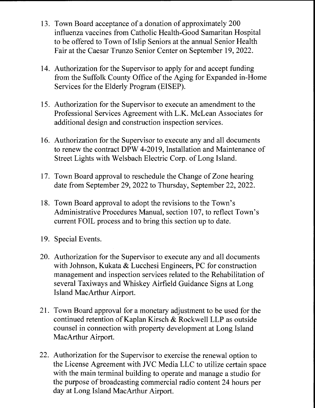- 13. Town Board acceptance of a donation of approximately 200 influenza vaccines from Catholic Health-Good Samaritan Hospital to be offered to Town of Islip Seniors at the annual Senior Health Fair at the Caesar Trunzo Senior Center on September 19, 2022.
- 14. Authorization for the Supervisor to apply for and accept funding from the Suffolk County Office of the Aging for Expanded in-Home Services for the Elderly Program (EISEP).
- 15. Authorization for the Supervisor to execute an amendment to the Professional Services Agreement with L.K. McLean Associates for additional design and construction inspection services.
- 16. Authorization for the Supervisor to execute any and all documents to renew the contract DPW 4-2019, Installation and Maintenance of Street Lights with Welsbach Electric Corp. of Long Island.
- 17. Town Board approval to reschedule the Change of Zone hearing date from September 29, 2022 to Thursday, September 22, 2022.
- 18. Town Board approval to adopt the revisions to the Town's Administrative Procedures Manual, section 107, to reflect Town's current FOIL process and to bring this section up to date.
- 19. Special Events.
- 20. Authorization for the Supervisor to execute any and all documents with Johnson, Kukata & Lucchesi Engineers, PC for construction management and inspection services related to the Rehabilitation of several Taxiways and Whiskey Airfield Guidance Signs at Long Island MacArthur Airport.
- 21. Town Board approval for a monetary adjustment to be used for the continued retention of Kaplan Kirsch & Rockwell LLP as outside counsel in connection with property development at Long Island MacArthur Airport.
- 22. Authorization for the Supervisor to exercise the renewal option to the License Agreement with JVC Media LLC to utilize certain space with the main terminal building to operate and manage a studio for the purpose of broadcasting commercial radio content 24 hours per day at Long Island MacArthur Airport.